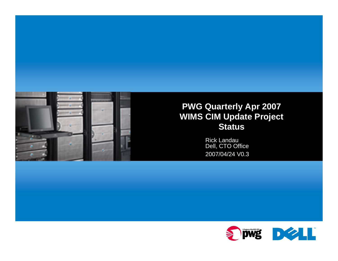

#### **PWG Quarterly Apr 2007 WIMS CIM Update Project Status**

Rick Landau Dell, CTO Office 2007/04/24 V0.3

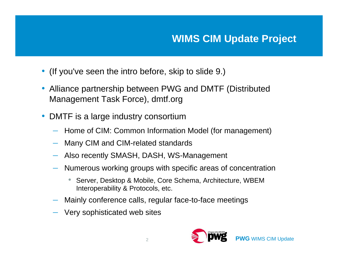- (If you've seen the intro before, skip to slide 9.)
- Alliance partnership between PWG and DMTF (Distributed Management Task Force), dmtf.org
- DMTF is a large industry consortium
	- Home of CIM: Common Information Model (for management)
	- Many CIM and CIM-related standards
	- Also recently SMASH, DASH, WS-Management
	- Numerous working groups with specific areas of concentration
		- • Server, Desktop & Mobile, Core Schema, Architecture, WBEM Interoperability & Protocols, etc.
	- Mainly conference calls, regular face-to-face meetings
	- Very sophisticated web sites

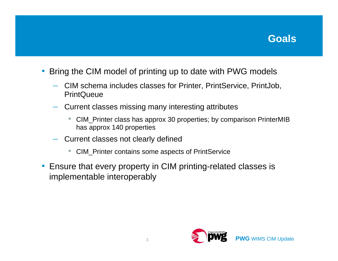

- $\bullet$  Bring the CIM model of printing up to date with PWG models
	- CIM schema includes classes for Printer, PrintService, PrintJob, **PrintQueue**
	- – Current classes missing many interesting attributes
		- $\bullet$  CIM\_Printer class has approx 30 properties; by comparison PrinterMIB has approx 140 properties
	- Current classes not clearly defined
		- $\bullet$ CIM\_Printer contains some aspects of PrintService
- Ensure that every property in CIM printing-related classes is implementable interoperably

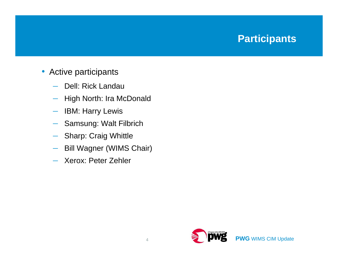# **Participants**

#### • Active participants

- –Dell: Rick Landau
- High North: Ira McDonald
- $\longrightarrow$ IBM: Harry Lewis
- Samsung: Walt Filbrich
- Sharp: Craig Whittle
- Bill Wagner (WIMS Chair)
- Xerox: Peter Zehler

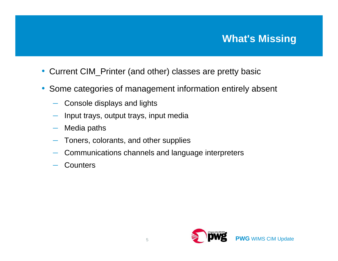# **What's Missing**

- Current CIM\_Printer (and other) classes are pretty basic
- Some categories of management information entirely absent
	- Console displays and lights
	- Input trays, output trays, input media
	- –Media paths
	- Toners, colorants, and other supplies
	- Communications channels and language interpreters
	- **Counters**

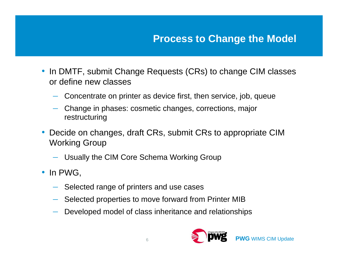## **Process to Change the Model**

- In DMTF, submit Change Requests (CRs) to change CIM classes or define new classes
	- Concentrate on printer as device first, then service, job, queue
	- Change in phases: cosmetic changes, corrections, major restructuring
- Decide on changes, draft CRs, submit CRs to appropriate CIM Working Group
	- Usually the CIM Core Schema Working Group
- In PWG,
	- Selected range of printers and use cases
	- Selected properties to move forward from Printer MIB
	- Developed model of class inheritance and relationships

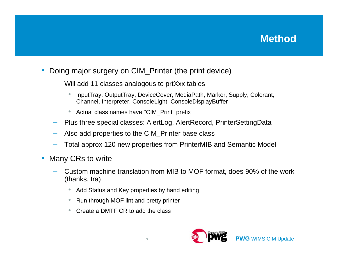### **Method**

- $\bullet$  Doing major surgery on CIM\_Printer (the print device)
	- Will add 11 classes analogous to prtXxx tables
		- $\bullet$  InputTray, OutputTray, DeviceCover, MediaPath, Marker, Supply, Colorant, Channel, Interpreter, ConsoleLight, ConsoleDisplayBuffer
		- Actual class names have "CIM\_Print" prefix
	- Plus three special classes: AlertLog, AlertRecord, PrinterSettingData
	- Also add properties to the CIM\_Printer base class
	- Total approx 120 new properties from PrinterMIB and Semantic Model
- $\bullet$  Many CRs to write
	- Custom machine translation from MIB to MOF format, does 90% of the work (thanks, Ira)
		- Add Status and Key properties by hand editing
		- Run through MOF lint and pretty printer
		- Create a DMTF CR to add the class

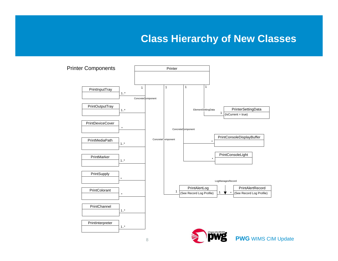#### **Class Hierarchy of New Classes**



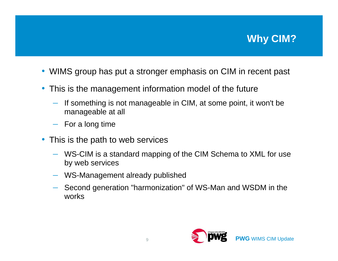# **Why CIM?**

- WIMS group has put a stronger emphasis on CIM in recent past
- This is the management information model of the future
	- – If something is not manageable in CIM, at some point, it won't be manageable at all
	- For a long time
- This is the path to web services
	- WS-CIM is a standard mapping of the CIM Schema to XML for use by web services
	- WS-Management already published
	- Second generation "harmonization" of WS-Man and WSDM in the works

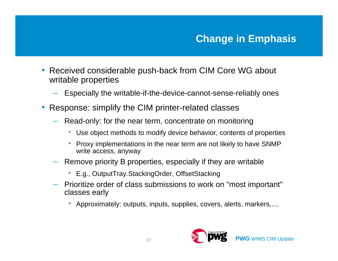- $\bullet$  Received considerable push-back from CIM Core WG about writable properties
	- Especially the writable-if-the-device-cannot-sense-reliably ones
- $\bullet$  Response: simplify the CIM printer-related classes
	- Read-only: for the near term, concentrate on monitoring
		- •Use object methods to modify device behavior, contents of properties
		- • Proxy implementations in the near term are not likely to have SNMP write access, anyway
	- Remove priority B properties, especially if they are writable
		- E.g., OutputTray.StackingOrder, OffsetStacking
	- Prioritize order of class submissions to work on "most important" classes early
		- •Approximately: outputs, inputs, supplies, covers, alerts, markers,....

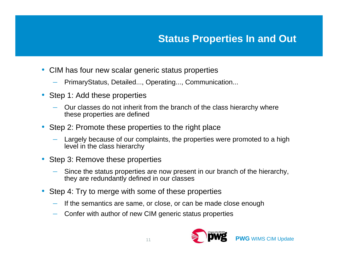## **Status Properties In and Out**

- CIM has four new scalar generic status properties
	- PrimaryStatus, Detailed..., Operating..., Communication...
- Step 1: Add these properties
	- Our classes do not inherit from the branch of the class hierarchy where these properties are defined
- Step 2: Promote these properties to the right place
	- Largely because of our complaints, the properties were promoted to a high level in the class hierarchy
- Step 3: Remove these properties
	- Since the status properties are now present in our branch of the hierarchy, they are redundantly defined in our classes
- Step 4: Try to merge with some of these properties
	- –If the semantics are same, or close, or can be made close enough
	- Confer with author of new CIM generic status properties

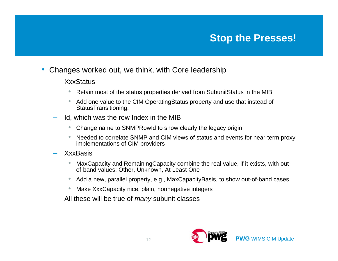#### **Stop the Presses!**

- $\bullet$  Changes worked out, we think, with Core leadership
	- **XxxStatus** 
		- $\bullet$ Retain most of the status properties derived from SubunitStatus in the MIB
		- Add one value to the CIM OperatingStatus property and use that instead of StatusTransitioning.
	- Id, which was the row Index in the MIB
		- $\bullet$ Change name to SNMPRowId to show clearly the legacy origin
		- Needed to correlate SNMP and CIM views of status and events for near-term proxy implementations of CIM providers
	- XxxBasis
		- $\bullet$  MaxCapacity and RemainingCapacity combine the real value, if it exists, with outof-band values: Other, Unknown, At Least One
		- Add a new, parallel property, e.g., MaxCapacityBasis, to show out-of-band cases
		- $\bullet$ Make XxxCapacity nice, plain, nonnegative integers
	- All these will be true of *many* subunit classes

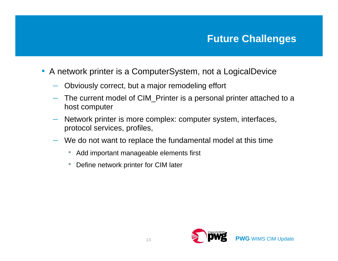- A network printer is a ComputerSystem, not a LogicalDevice
	- Obviously correct, but a major remodeling effort
	- – The current model of CIM\_Printer is a personal printer attached to a host computer
	- – Network printer is more complex: computer system, interfaces, protocol services, profiles,
	- We do not want to replace the fundamental model at this time
		- Add important manageable elements first
		- $\bullet$ Define network printer for CIM later

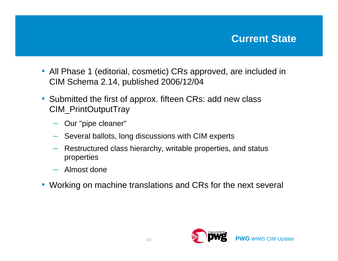#### **Current State**

- All Phase 1 (editorial, cosmetic) CRs approved, are included in CIM Schema 2.14, published 2006/12/04
- Submitted the first of approx. fifteen CRs: add new class CIM\_PrintOutputTray
	- Our "pipe cleaner"
	- Several ballots, long discussions with CIM experts
	- – Restructured class hierarchy, writable properties, and status properties
	- Almost done
- Working on machine translations and CRs for the next several

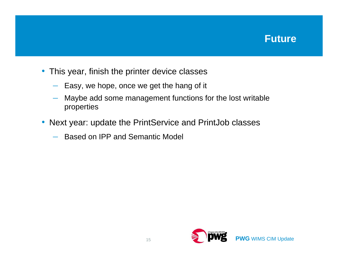#### **Future**

- This year, finish the printer device classes
	- Easy, we hope, once we get the hang of it
	- – Maybe add some management functions for the lost writable properties
- Next year: update the PrintService and PrintJob classes
	- Based on IPP and Semantic Model

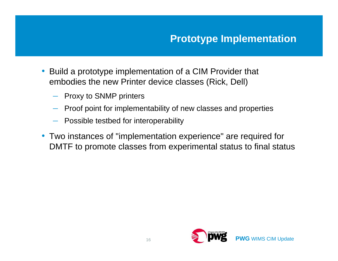- Build a prototype implementation of a CIM Provider that embodies the new Printer device classes (Rick, Dell)
	- Proxy to SNMP printers
	- –Proof point for implementability of new classes and properties
	- Possible testbed for interoperability
- Two instances of "implementation experience" are required for DMTF to promote classes from experimental status to final status

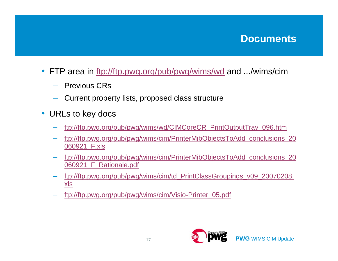#### **Documents**

- FTP area in ftp://ftp.pwg.org/pub/pwg/wims/wd and .../wims/cim
	- Previous CRs
	- Current property lists, proposed class structure
- URLs to key docs
	- ftp://ftp.pwg.org/pub/pwg/wims/wd/CIMCoreCR\_PrintOutputTray\_096.htm
	- ftp://ftp.pwg.org/pub/pwg/wims/cim/PrinterMibObjectsToAdd\_conclusions\_20 060921\_F.xls
	- ftp://ftp.pwg.org/pub/pwg/wims/cim/PrinterMibObjectsToAdd\_conclusions\_20 060921\_F\_Rationale.pdf
	- ftp://ftp.pwg.org/pub/pwg/wims/cim/td\_PrintClassGroupings\_v09\_20070208. xls
	- ftp://ftp.pwg.org/pub/pwg/wims/cim/Visio-Printer\_05.pdf

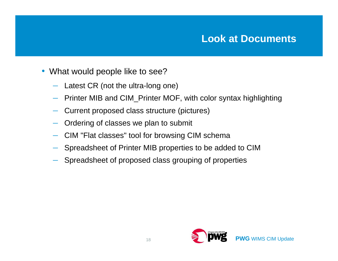#### **Look at Documents**

- What would people like to see?
	- –Latest CR (not the ultra-long one)
	- –Printer MIB and CIM\_Printer MOF, with color syntax highlighting
	- –Current proposed class structure (pictures)
	- Ordering of classes we plan to submit
	- CIM "Flat classes" tool for browsing CIM schema
	- Spreadsheet of Printer MIB properties to be added to CIM
	- Spreadsheet of proposed class grouping of properties